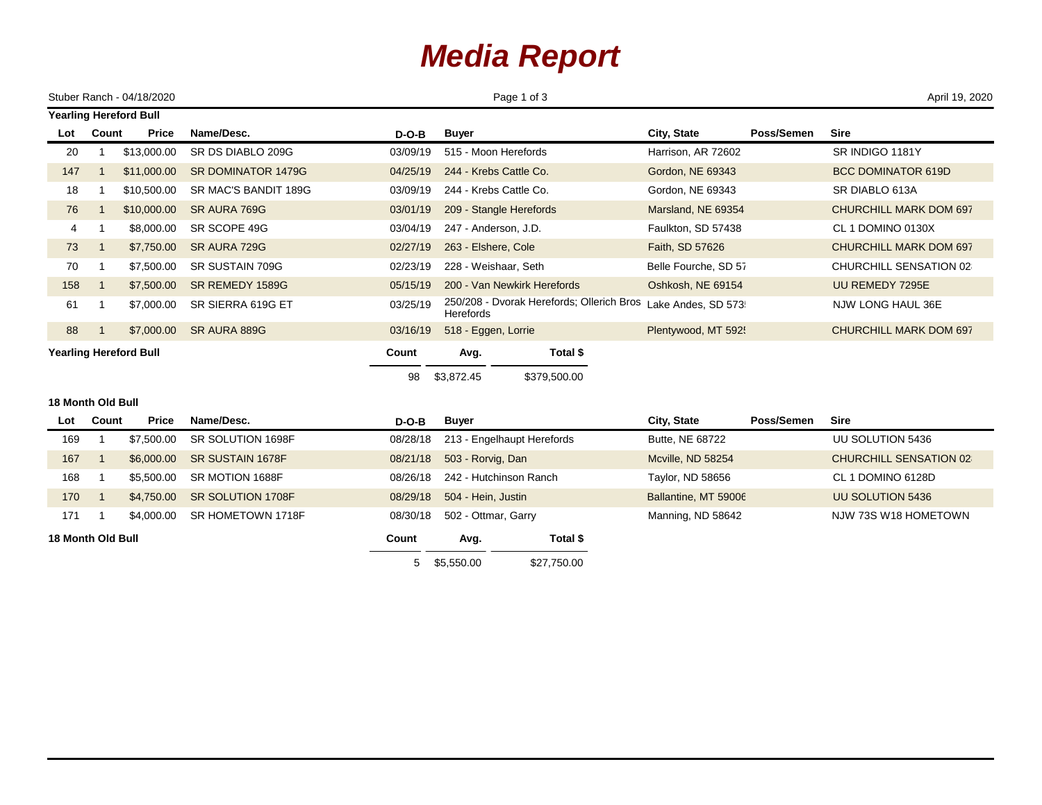## *Media Report*

|                               |       | Stuber Ranch - 04/18/2020 |                      |             | Page 1 of 3                                                   |                           | April 19, 2020                |  |  |  |
|-------------------------------|-------|---------------------------|----------------------|-------------|---------------------------------------------------------------|---------------------------|-------------------------------|--|--|--|
| <b>Yearling Hereford Bull</b> |       |                           |                      |             |                                                               |                           |                               |  |  |  |
| Lot                           | Count | <b>Price</b>              | Name/Desc.           | $D-O-B$     | <b>Buyer</b>                                                  | City, State<br>Poss/Semen | <b>Sire</b>                   |  |  |  |
| 20                            |       | \$13,000.00               | SR DS DIABLO 209G    | 03/09/19    | 515 - Moon Herefords                                          | Harrison, AR 72602        | SR INDIGO 1181Y               |  |  |  |
| 147                           |       | \$11,000.00               | SR DOMINATOR 1479G   | 04/25/19    | 244 - Krebs Cattle Co.                                        | Gordon, NE 69343          | <b>BCC DOMINATOR 619D</b>     |  |  |  |
| 18                            |       | \$10,500.00               | SR MAC'S BANDIT 189G | 03/09/19    | 244 - Krebs Cattle Co.                                        | Gordon, NE 69343          | SR DIABLO 613A                |  |  |  |
| 76                            |       | \$10,000.00               | SR AURA 769G         | 03/01/19    | 209 - Stangle Herefords                                       | Marsland, NE 69354        | <b>CHURCHILL MARK DOM 697</b> |  |  |  |
| 4                             |       | \$8,000.00                | SR SCOPE 49G         | 03/04/19    | 247 - Anderson, J.D.                                          | Faulkton, SD 57438        | CL 1 DOMINO 0130X             |  |  |  |
| 73                            |       | \$7,750.00                | SR AURA 729G         | 02/27/19    | 263 - Elshere, Cole                                           | Faith, SD 57626           | <b>CHURCHILL MARK DOM 697</b> |  |  |  |
| 70                            |       | \$7,500.00                | SR SUSTAIN 709G      | 02/23/19    | 228 - Weishaar, Seth                                          | Belle Fourche, SD 57      | CHURCHILL SENSATION 02        |  |  |  |
| 158                           |       | \$7,500.00                | SR REMEDY 1589G      | 05/15/19    | 200 - Van Newkirk Herefords                                   | Oshkosh, NE 69154         | UU REMEDY 7295E               |  |  |  |
| 61                            |       | \$7,000.00                | SR SIERRA 619G ET    | 03/25/19    | 250/208 - Dvorak Herefords; Ollerich Bros<br><b>Herefords</b> | Lake Andes, SD 573:       | NJW LONG HAUL 36E             |  |  |  |
| 88                            |       | \$7,000.00                | SR AURA 889G         | 03/16/19    | 518 - Eggen, Lorrie                                           | Plentywood, MT 5925       | <b>CHURCHILL MARK DOM 697</b> |  |  |  |
| <b>Yearling Hereford Bull</b> |       |                           |                      | Count<br>98 | Avg.<br>Total \$                                              |                           |                               |  |  |  |
|                               |       |                           |                      |             | \$3,872.45<br>\$379,500.00                                    |                           |                               |  |  |  |

## **18 Month Old Bull**

| Lot                      | Count | <b>Price</b> | Name/Desc.              | $D-O-B$  | Buyer                      |             | City, State          | Poss/Semen | Sire                          |
|--------------------------|-------|--------------|-------------------------|----------|----------------------------|-------------|----------------------|------------|-------------------------------|
| 169                      |       | \$7,500.00   | SR SOLUTION 1698F       | 08/28/18 | 213 - Engelhaupt Herefords |             | Butte, NE 68722      |            | UU SOLUTION 5436              |
| 167                      |       | \$6,000,00   | <b>SR SUSTAIN 1678F</b> | 08/21/18 | 503 - Rorvig, Dan          |             | Mcville, ND 58254    |            | <b>CHURCHILL SENSATION 02</b> |
| 168                      |       | \$5.500.00   | SR MOTION 1688F         | 08/26/18 | 242 - Hutchinson Ranch     |             | Taylor, ND 58656     |            | CL 1 DOMINO 6128D             |
| 170                      |       | \$4,750,00   | SR SOLUTION 1708F       | 08/29/18 | 504 - Hein, Justin         |             | Ballantine, MT 59006 |            | UU SOLUTION 5436              |
| 171                      |       | \$4,000.00   | SR HOMETOWN 1718F       | 08/30/18 | 502 - Ottmar, Garry        |             | Manning, ND 58642    |            | NJW 73S W18 HOMETOWN          |
| <b>18 Month Old Bull</b> |       |              |                         | Count    | Avg.                       | Total \$    |                      |            |                               |
|                          |       |              |                         |          | \$5,550.00                 | \$27,750.00 |                      |            |                               |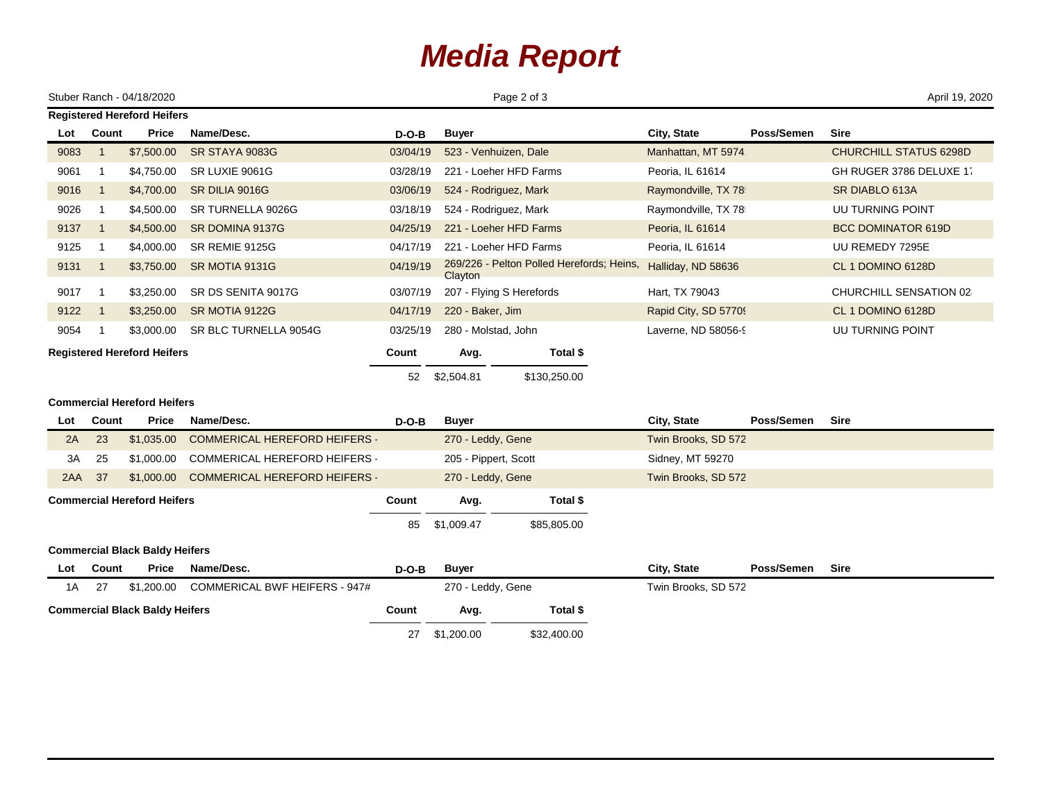## *Media Report*

| Page 2 of 3<br>Stuber Ranch - 04/18/2020                       |                |                                    |                                      |             |                      |                                           |                      | April 19, 2020 |                               |  |
|----------------------------------------------------------------|----------------|------------------------------------|--------------------------------------|-------------|----------------------|-------------------------------------------|----------------------|----------------|-------------------------------|--|
| <b>Registered Hereford Heifers</b>                             |                |                                    |                                      |             |                      |                                           |                      |                |                               |  |
| Lot                                                            | Count          | <b>Price</b>                       | Name/Desc.                           | $D-O-B$     | <b>Buyer</b>         |                                           | City, State          | Poss/Semen     | <b>Sire</b>                   |  |
| 9083                                                           | $\overline{1}$ | \$7,500.00                         | SR STAYA 9083G                       | 03/04/19    |                      | 523 - Venhuizen, Dale                     | Manhattan, MT 5974   |                | <b>CHURCHILL STATUS 6298D</b> |  |
| 9061                                                           | -1             | \$4,750.00                         | SR LUXIE 9061G                       | 03/28/19    |                      | 221 - Loeher HFD Farms                    | Peoria, IL 61614     |                | GH RUGER 3786 DELUXE 17       |  |
| 9016                                                           | $\overline{1}$ | \$4,700.00                         | SR DILIA 9016G                       | 03/06/19    |                      | 524 - Rodriguez, Mark                     | Raymondville, TX 78  |                | SR DIABLO 613A                |  |
| 9026                                                           | $\overline{1}$ | \$4,500.00                         | SR TURNELLA 9026G                    | 03/18/19    |                      | 524 - Rodriguez, Mark                     | Raymondville, TX 78  |                | UU TURNING POINT              |  |
| 9137                                                           | $\overline{1}$ | \$4,500.00                         | SR DOMINA 9137G                      | 04/25/19    |                      | 221 - Loeher HFD Farms                    | Peoria, IL 61614     |                | <b>BCC DOMINATOR 619D</b>     |  |
| 9125                                                           | -1             | \$4,000.00                         | SR REMIE 9125G                       | 04/17/19    |                      | 221 - Loeher HFD Farms                    | Peoria, IL 61614     |                | UU REMEDY 7295E               |  |
| 9131                                                           | $\overline{1}$ | \$3,750.00                         | SR MOTIA 9131G                       | 04/19/19    | Clayton              | 269/226 - Pelton Polled Herefords; Heins, | Halliday, ND 58636   |                | CL 1 DOMINO 6128D             |  |
| 9017                                                           | -1             | \$3,250.00                         | SR DS SENITA 9017G                   | 03/07/19    |                      | 207 - Flying S Herefords                  | Hart, TX 79043       |                | CHURCHILL SENSATION 02        |  |
| 9122                                                           | $\overline{1}$ | \$3,250.00                         | SR MOTIA 9122G                       | 04/17/19    | 220 - Baker, Jim     |                                           | Rapid City, SD 57709 |                | CL 1 DOMINO 6128D             |  |
| 9054                                                           | -1             | \$3,000.00                         | SR BLC TURNELLA 9054G                | 03/25/19    | 280 - Molstad, John  |                                           | Laverne, ND 58056-9  |                | UU TURNING POINT              |  |
| <b>Registered Hereford Heifers</b>                             |                |                                    | Count                                | Avg.        | Total \$             |                                           |                      |                |                               |  |
|                                                                |                |                                    | 52                                   | \$2,504.81  | \$130,250.00         |                                           |                      |                |                               |  |
|                                                                |                | <b>Commercial Hereford Heifers</b> |                                      |             |                      |                                           |                      |                |                               |  |
| Lot                                                            | Count          | <b>Price</b>                       | Name/Desc.                           | $D-O-B$     | <b>Buyer</b>         |                                           | City, State          | Poss/Semen     | <b>Sire</b>                   |  |
| 2A                                                             | 23             | \$1,035.00                         | <b>COMMERICAL HEREFORD HEIFERS -</b> |             | 270 - Leddy, Gene    |                                           | Twin Brooks, SD 572  |                |                               |  |
| 3A                                                             | 25             | \$1,000.00                         | COMMERICAL HEREFORD HEIFERS -        |             | 205 - Pippert, Scott |                                           | Sidney, MT 59270     |                |                               |  |
| 2AA 37                                                         |                | \$1,000.00                         | <b>COMMERICAL HEREFORD HEIFERS</b>   |             | 270 - Leddy, Gene    |                                           | Twin Brooks, SD 572  |                |                               |  |
| <b>Commercial Hereford Heifers</b>                             |                |                                    | Count                                | Avg.        | Total \$             |                                           |                      |                |                               |  |
|                                                                |                |                                    |                                      | 85          | \$1,009.47           | \$85,805.00                               |                      |                |                               |  |
| <b>Commercial Black Baldy Heifers</b>                          |                |                                    |                                      |             |                      |                                           |                      |                |                               |  |
| Lot                                                            | Count          | Price                              | Name/Desc.                           | $D-O-B$     | <b>Buyer</b>         |                                           | City, State          | Poss/Semen     | <b>Sire</b>                   |  |
| <b>COMMERICAL BWF HEIFERS - 947#</b><br>27<br>\$1,200.00<br>1A |                |                                    |                                      |             | 270 - Leddy, Gene    |                                           | Twin Brooks, SD 572  |                |                               |  |
| <b>Commercial Black Baldy Heifers</b>                          |                |                                    |                                      | Count       | Avg.                 | Total \$                                  |                      |                |                               |  |
|                                                                |                | 27                                 | \$1,200.00                           | \$32,400.00 |                      |                                           |                      |                |                               |  |